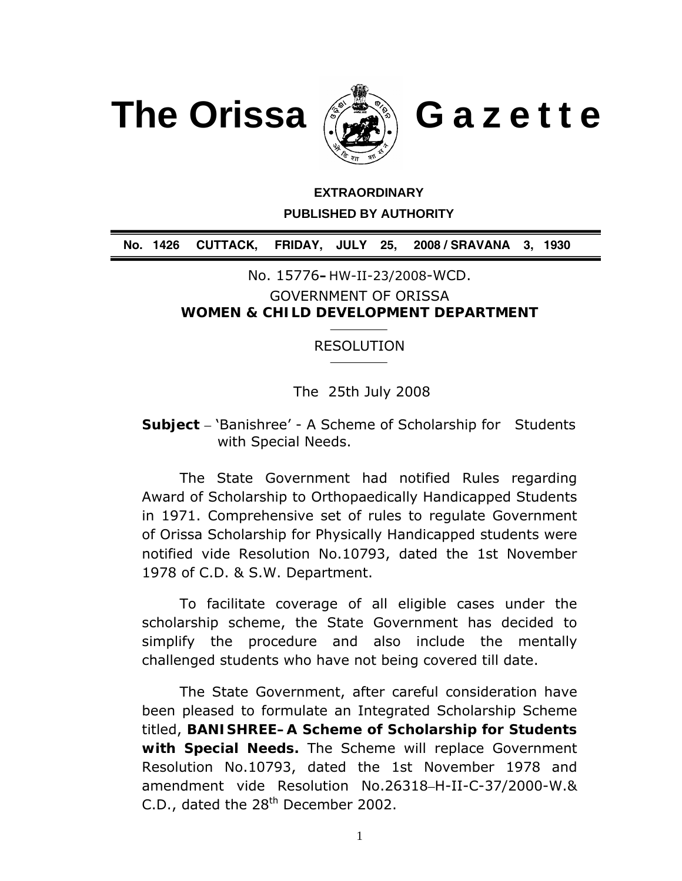



# **EXTRAORDINARY PUBLISHED BY AUTHORITY**

**No. 1426 CUTTACK, FRIDAY, JULY 25, 2008 / SRAVANA 3, 1930**

No. 15776**–**HW-II-23/2008-WCD.

GOVERNMENT OF ORISSA **WOMEN & CHILD DEVELOPMENT DEPARTMENT** 

## RESOLUTION

The 25th July 2008

**Subject** – 'Banishree' - A Scheme of Scholarship for Students with Special Needs.

 The State Government had notified Rules regarding Award of Scholarship to Orthopaedically Handicapped Students in 1971. Comprehensive set of rules to regulate Government of Orissa Scholarship for Physically Handicapped students were notified vide Resolution No.10793, dated the 1st November 1978 of C.D. & S.W. Department.

 To facilitate coverage of all eligible cases under the scholarship scheme, the State Government has decided to simplify the procedure and also include the mentally challenged students who have not being covered till date.

 The State Government, after careful consideration have been pleased to formulate an Integrated Scholarship Scheme titled, **BANISHREE–A Scheme of Scholarship for Students with Special Needs.** The Scheme will replace Government Resolution No.10793, dated the 1st November 1978 and amendment vide Resolution No.26318–H-II-C-37/2000-W.& C.D., dated the  $28<sup>th</sup>$  December 2002.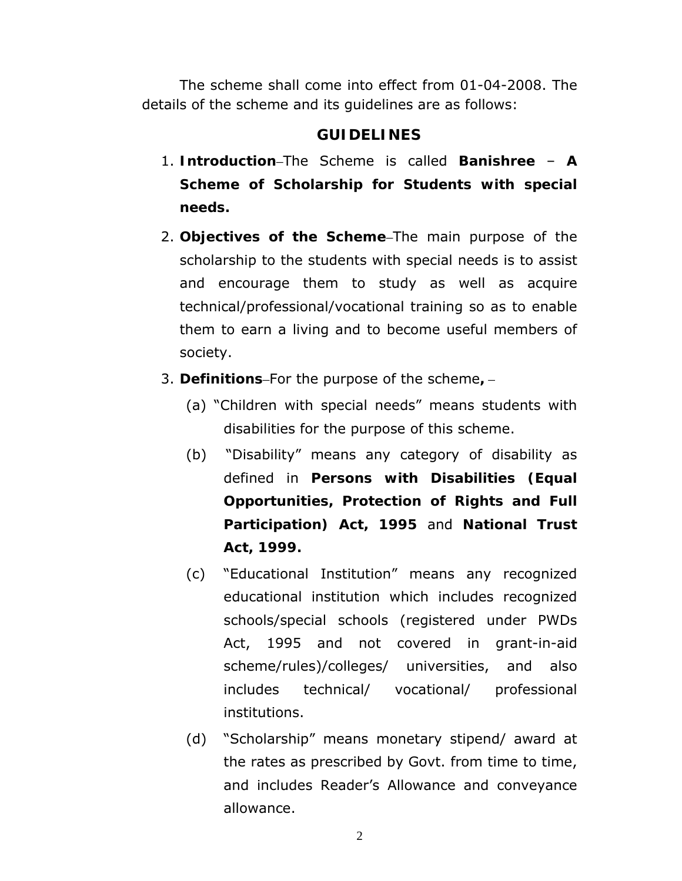The scheme shall come into effect from 01-04-2008. The details of the scheme and its guidelines are as follows:

#### **GUIDELINES**

- 1. **Introduction**–The Scheme is called **Banishree A Scheme of Scholarship for Students with special needs.**
- 2. **Objectives of the Scheme**–The main purpose of the scholarship to the students with special needs is to assist and encourage them to study as well as acquire technical/professional/vocational training so as to enable them to earn a living and to become useful members of society.
- 3. **Definitions**–For the purpose of the scheme**,**
	- (a) "Children with special needs" means students with disabilities for the purpose of this scheme.
	- (b) "Disability" means any category of disability as defined in **Persons with Disabilities (Equal Opportunities, Protection of Rights and Full Participation) Act, 1995** and **National Trust Act, 1999.**
	- (c) "Educational Institution" means any recognized educational institution which includes recognized schools/special schools (registered under PWDs Act, 1995 and not covered in grant-in-aid scheme/rules)/colleges/ universities, and also includes technical/ vocational/ professional institutions.
	- (d) "Scholarship" means monetary stipend/ award at the rates as prescribed by Govt. from time to time, and includes Reader's Allowance and conveyance allowance.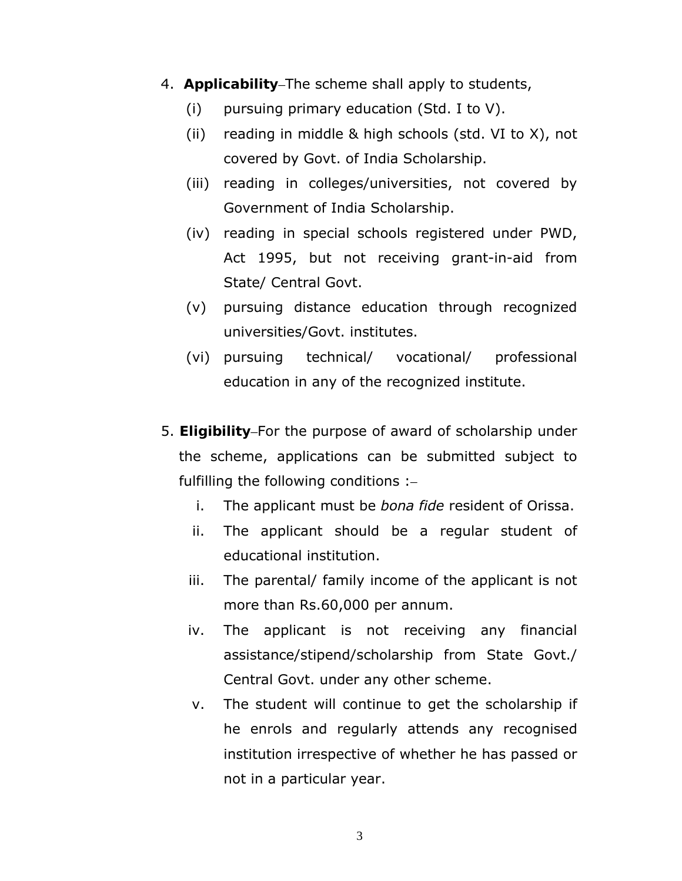- 4. **Applicability**–The scheme shall apply to students,
	- (i) pursuing primary education (Std. I to V).
	- (ii) reading in middle & high schools (std. VI to X), not covered by Govt. of India Scholarship.
	- (iii) reading in colleges/universities, not covered by Government of India Scholarship.
	- (iv) reading in special schools registered under PWD, Act 1995, but not receiving grant-in-aid from State/ Central Govt.
	- (v) pursuing distance education through recognized universities/Govt. institutes.
	- (vi) pursuing technical/ vocational/ professional education in any of the recognized institute.
- 5. **Eligibility**–For the purpose of award of scholarship under the scheme, applications can be submitted subject to fulfilling the following conditions :–
	- i. The applicant must be *bona fide* resident of Orissa.
	- ii. The applicant should be a regular student of educational institution.
	- iii. The parental/ family income of the applicant is not more than Rs.60,000 per annum.
	- iv. The applicant is not receiving any financial assistance/stipend/scholarship from State Govt./ Central Govt. under any other scheme.
	- v. The student will continue to get the scholarship if he enrols and regularly attends any recognised institution irrespective of whether he has passed or not in a particular year.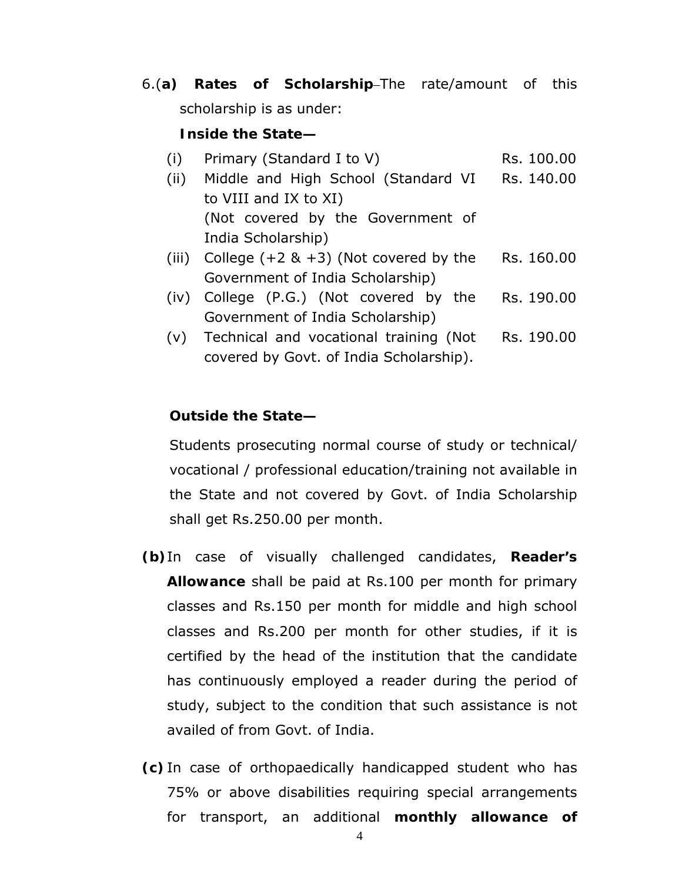6.(**a) Rates of Scholarship**–The rate/amount of this scholarship is as under:

#### **Inside the State—**

- (i) Primary (Standard I to V) Rs.  $100.00$
- (ii) Middle and High School (Standard VI to VIII and IX to XI) (Not covered by the Government of India Scholarship) Rs. 140.00
- (iii) College  $(+2 \& +3)$  (Not covered by the Government of India Scholarship) Rs. 160.00
- (iv) College (P.G.) (Not covered by the Government of India Scholarship) Rs. 190.00
- (v) Technical and vocational training (Not covered by Govt. of India Scholarship). Rs. 190.00

## **Outside the State—**

Students prosecuting normal course of study or technical/ vocational / professional education/training not available in the State and not covered by Govt. of India Scholarship shall get Rs.250.00 per month.

- **(b)**In case of visually challenged candidates, **Reader's Allowance** shall be paid at Rs.100 per month for primary classes and Rs.150 per month for middle and high school classes and Rs.200 per month for other studies, if it is certified by the head of the institution that the candidate has continuously employed a reader during the period of study, subject to the condition that such assistance is not availed of from Govt. of India.
- **(c)** In case of orthopaedically handicapped student who has 75% or above disabilities requiring special arrangements for transport, an additional **monthly allowance of**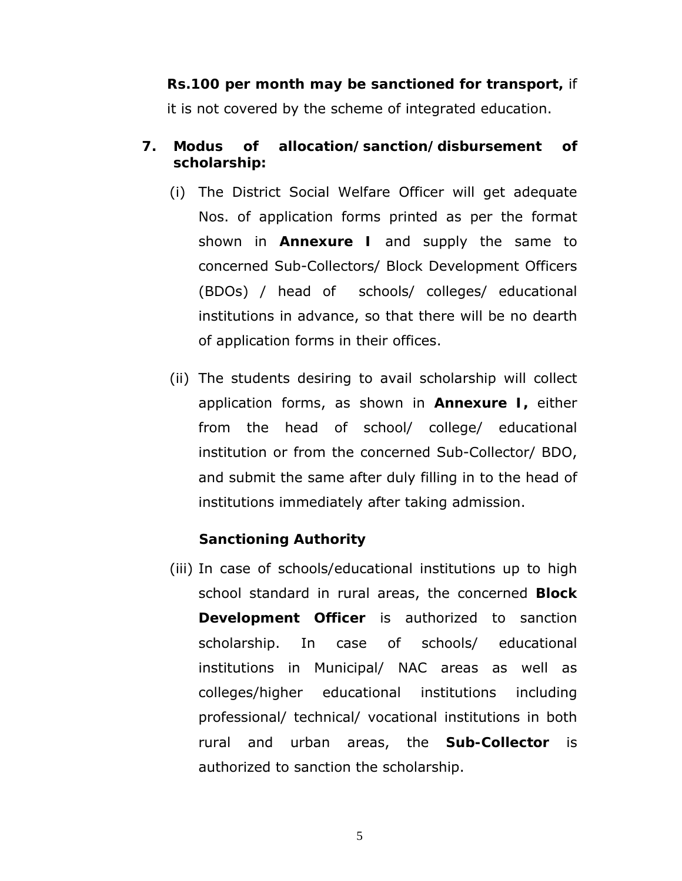**Rs.100 per month may be sanctioned for transport,** if it is not covered by the scheme of integrated education.

## **7. Modus of allocation/sanction/disbursement of scholarship:**

- (i) The District Social Welfare Officer will get adequate Nos. of application forms printed as per the format shown in **Annexure I** and supply the same to concerned Sub-Collectors/ Block Development Officers (BDOs) / head of schools/ colleges/ educational institutions in advance, so that there will be no dearth of application forms in their offices.
- (ii) The students desiring to avail scholarship will collect application forms, as shown in **Annexure I,** either from the head of school/ college/ educational institution or from the concerned Sub-Collector/ BDO, and submit the same after duly filling in to the head of institutions immediately after taking admission.

#### **Sanctioning Authority**

(iii) In case of schools/educational institutions up to high school standard in rural areas, the concerned **Block Development Officer** is authorized to sanction scholarship. In case of schools/ educational institutions in Municipal/ NAC areas as well as colleges/higher educational institutions including professional/ technical/ vocational institutions in both rural and urban areas, the **Sub-Collector** is authorized to sanction the scholarship.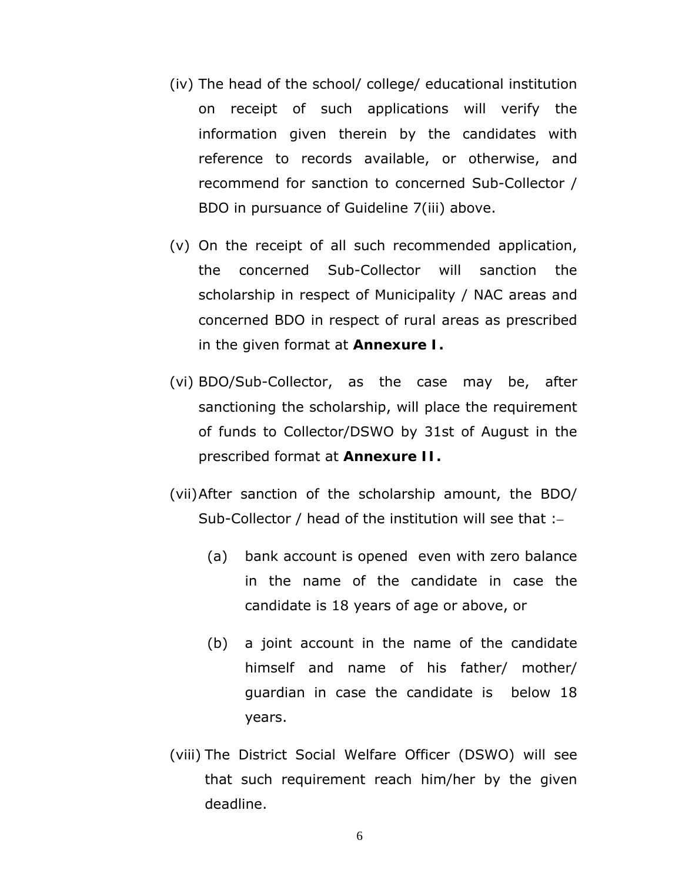- (iv) The head of the school/ college/ educational institution on receipt of such applications will verify the information given therein by the candidates with reference to records available, or otherwise, and recommend for sanction to concerned Sub-Collector / BDO in pursuance of Guideline 7(iii) above.
- (v) On the receipt of all such recommended application, the concerned Sub-Collector will sanction the scholarship in respect of Municipality / NAC areas and concerned BDO in respect of rural areas as prescribed in the given format at **Annexure I.**
- (vi) BDO/Sub-Collector, as the case may be, after sanctioning the scholarship, will place the requirement of funds to Collector/DSWO by 31st of August in the prescribed format at **Annexure II.**
- (vii)After sanction of the scholarship amount, the BDO/ Sub-Collector / head of the institution will see that :–
	- (a) bank account is opened even with zero balance in the name of the candidate in case the candidate is 18 years of age or above, or
	- (b) a joint account in the name of the candidate himself and name of his father/ mother/ guardian in case the candidate is below 18 years.
- (viii) The District Social Welfare Officer (DSWO) will see that such requirement reach him/her by the given deadline.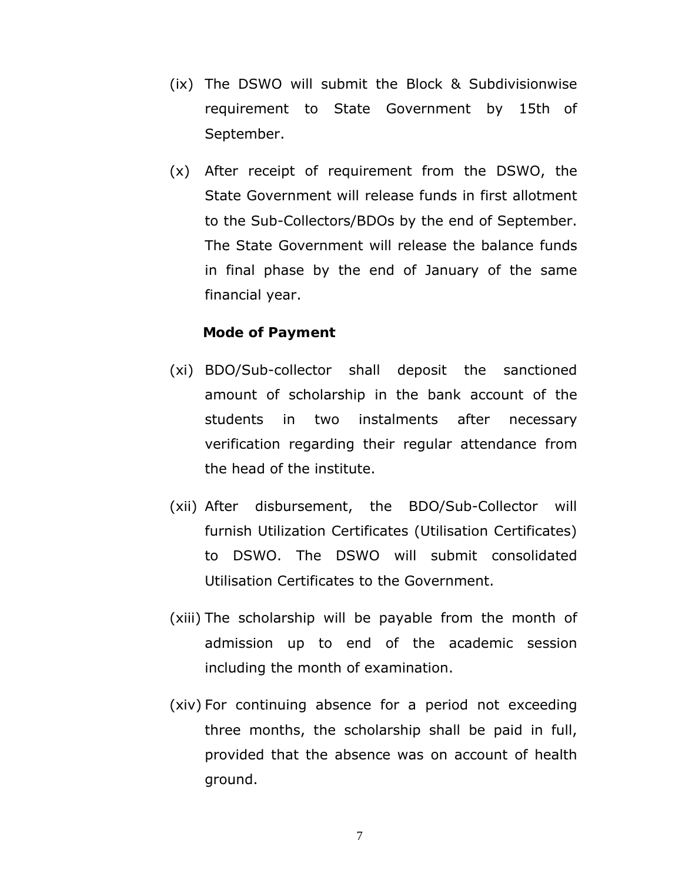- (ix) The DSWO will submit the Block & Subdivisionwise requirement to State Government by 15th of September.
- (x) After receipt of requirement from the DSWO, the State Government will release funds in first allotment to the Sub-Collectors/BDOs by the end of September. The State Government will release the balance funds in final phase by the end of January of the same financial year.

#### **Mode of Payment**

- (xi) BDO/Sub-collector shall deposit the sanctioned amount of scholarship in the bank account of the students in two instalments after necessary verification regarding their regular attendance from the head of the institute.
- (xii) After disbursement, the BDO/Sub-Collector will furnish Utilization Certificates (Utilisation Certificates) to DSWO. The DSWO will submit consolidated Utilisation Certificates to the Government.
- (xiii) The scholarship will be payable from the month of admission up to end of the academic session including the month of examination.
- (xiv) For continuing absence for a period not exceeding three months, the scholarship shall be paid in full, provided that the absence was on account of health ground.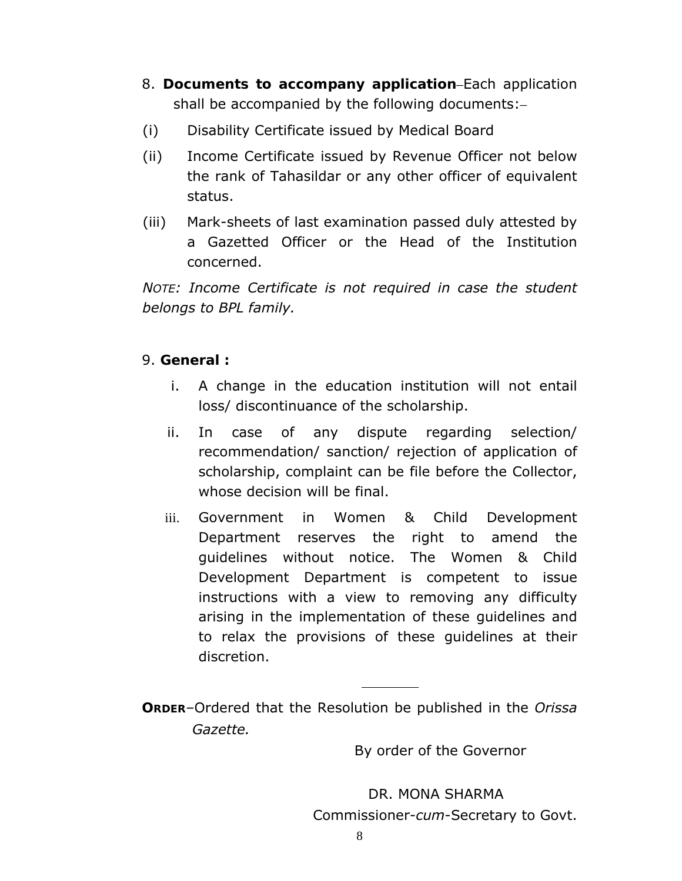- 8. **Documents to accompany application**–Each application shall be accompanied by the following documents:–
- (i) Disability Certificate issued by Medical Board
- (ii) Income Certificate issued by Revenue Officer not below the rank of Tahasildar or any other officer of equivalent status.
- (iii) Mark-sheets of last examination passed duly attested by a Gazetted Officer or the Head of the Institution concerned.

*NOTE: Income Certificate is not required in case the student belongs to BPL family.* 

# 9. **General :**

- i. A change in the education institution will not entail loss/ discontinuance of the scholarship.
- ii. In case of any dispute regarding selection/ recommendation/ sanction/ rejection of application of scholarship, complaint can be file before the Collector, whose decision will be final.
- iii. Government in Women & Child Development Department reserves the right to amend the guidelines without notice. The Women & Child Development Department is competent to issue instructions with a view to removing any difficulty arising in the implementation of these guidelines and to relax the provisions of these guidelines at their discretion.

**ORDER**–Ordered that the Resolution be published in the *Orissa Gazette.*

By order of the Governor

 DR. MONA SHARMA Commissioner-*cum*-Secretary to Govt.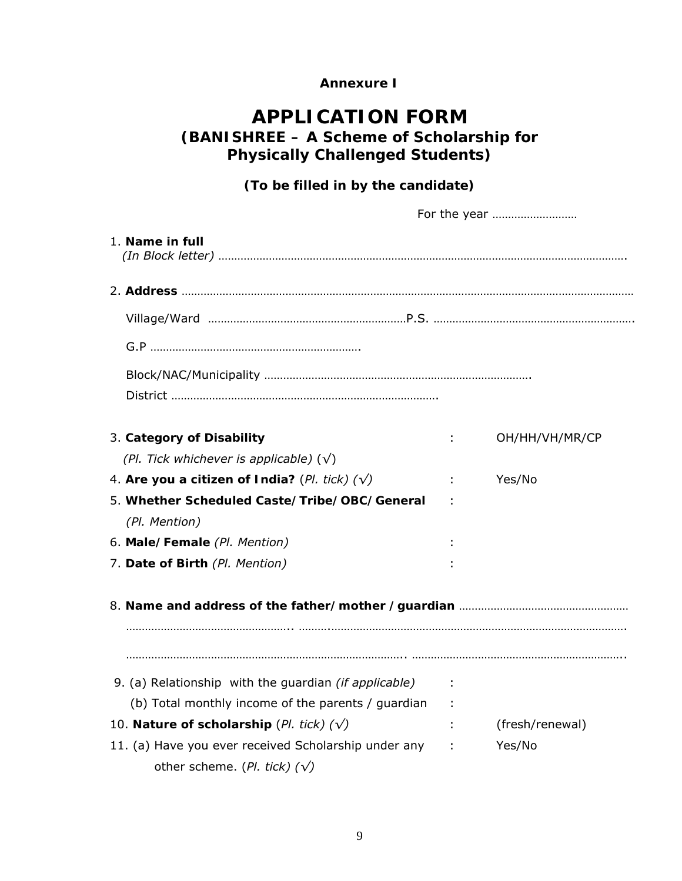#### **Annexure I**

# **APPLICATION FORM (BANISHREE – A Scheme of Scholarship for Physically Challenged Students)**

## **(To be filled in by the candidate)**

| For the year                                                  |                              |                 |
|---------------------------------------------------------------|------------------------------|-----------------|
| 1. Name in full                                               |                              |                 |
|                                                               |                              |                 |
|                                                               |                              |                 |
|                                                               |                              |                 |
|                                                               |                              |                 |
| 3. Category of Disability                                     | ÷.                           | OH/HH/VH/MR/CP  |
| (Pl. Tick whichever is applicable) $(\sqrt)$                  |                              |                 |
| 4. Are you a citizen of India? (Pl. tick) $(\sqrt{ } )$       | $\mathbb{Z}^2$               | Yes/No          |
| 5. Whether Scheduled Caste/Tribe/OBC/General<br>(Pl. Mention) |                              |                 |
| 6. Male/Female (Pl. Mention)                                  |                              |                 |
| 7. Date of Birth (Pl. Mention)                                |                              |                 |
|                                                               |                              |                 |
| 9. (a) Relationship with the guardian (if applicable)         |                              |                 |
| (b) Total monthly income of the parents / guardian            |                              |                 |
| 10. Nature of scholarship (Pl. tick) $(\sqrt)$                | $\sim 10^{-11}$ M $_{\odot}$ | (fresh/renewal) |
| 11. (a) Have you ever received Scholarship under any          | $\sim 100$                   | Yes/No          |
| other scheme. (Pl. tick) $(\sqrt)$                            |                              |                 |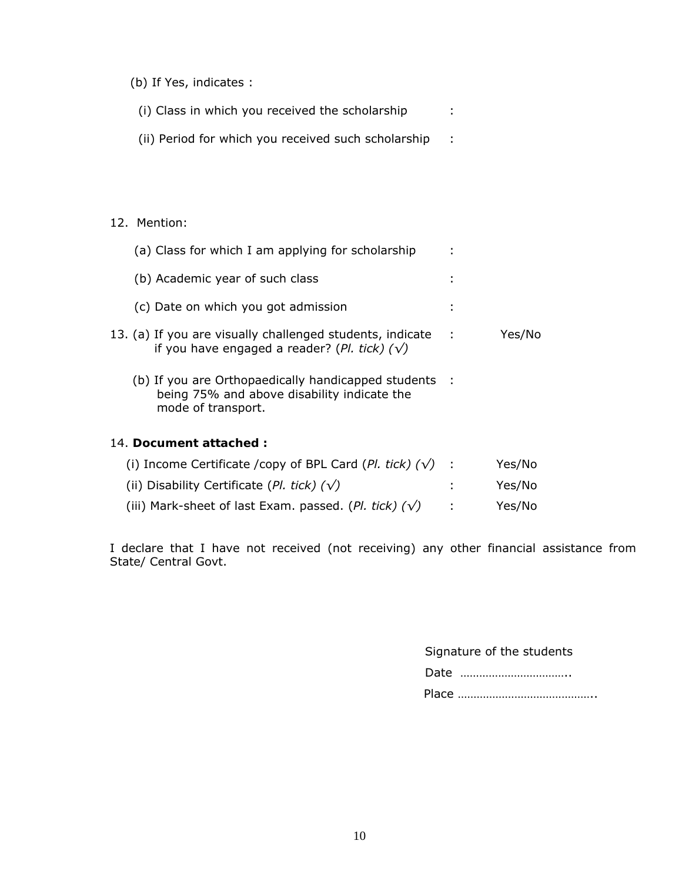(b) If Yes, indicates :

| (i) Class in which you received the scholarship |  |
|-------------------------------------------------|--|
|                                                 |  |

(ii) Period for which you received such scholarship :

#### 12. Mention:

| (a) Class for which I am applying for scholarship                                                                          |        |
|----------------------------------------------------------------------------------------------------------------------------|--------|
| (b) Academic year of such class                                                                                            |        |
| (c) Date on which you got admission                                                                                        |        |
| 13. (a) If you are visually challenged students, indicate :<br>if you have engaged a reader? (Pl. tick) $(\sqrt)$          | Yes/No |
| (b) If you are Orthopaedically handicapped students :<br>being 75% and above disability indicate the<br>mode of transport. |        |
| 14. Document attached :                                                                                                    |        |

| (i) Income Certificate /copy of BPL Card (Pl. tick) $(\sqrt{})$ : | Yes/No |
|-------------------------------------------------------------------|--------|
| (ii) Disability Certificate (Pl. tick) $(\sqrt)$                  | Yes/No |
| (iii) Mark-sheet of last Exam. passed. (Pl. tick) $(\sqrt{})$     | Yes/No |

I declare that I have not received (not receiving) any other financial assistance from State/ Central Govt.

| Signature of the students |
|---------------------------|
| Date                      |
|                           |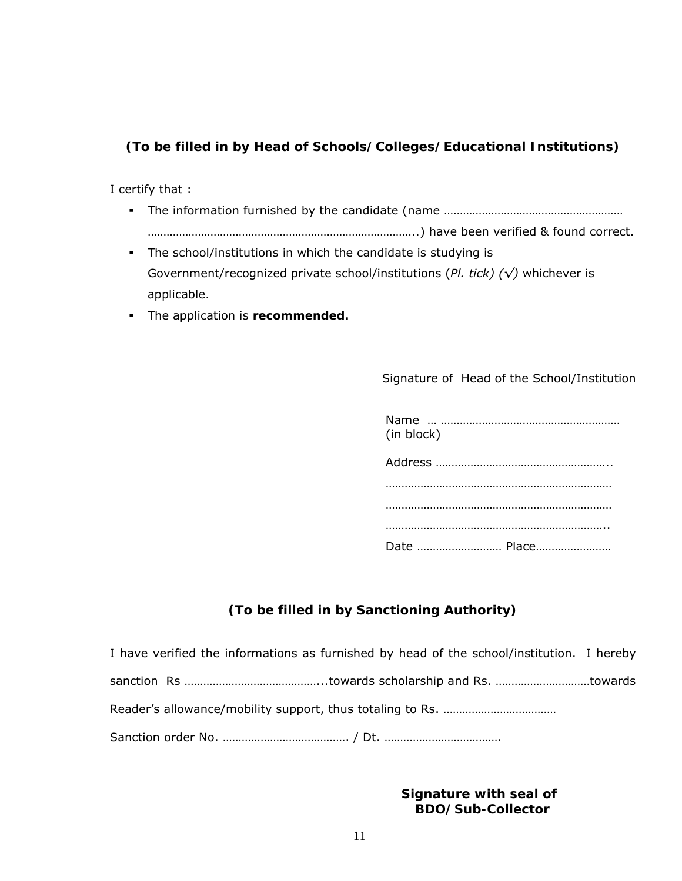### **(To be filled in by Head of Schools/Colleges/Educational Institutions)**

I certify that :

- The information furnished by the candidate (name ………………………………………………… …………………………………………………………………………..) have been verified & found correct.
- The school/institutions in which the candidate is studying is Government/recognized private school/institutions (*Pl. tick) (√)* whichever is applicable.
- The application is **recommended.**

#### Signature of Head of the School/Institution

| (in block)  |
|-------------|
|             |
|             |
|             |
|             |
| Date  Place |

# **(To be filled in by Sanctioning Authority)**

| I have verified the informations as furnished by head of the school/institution. I hereby |  |
|-------------------------------------------------------------------------------------------|--|
|                                                                                           |  |
|                                                                                           |  |
|                                                                                           |  |

 **Signature with seal of BDO/Sub-Collector**